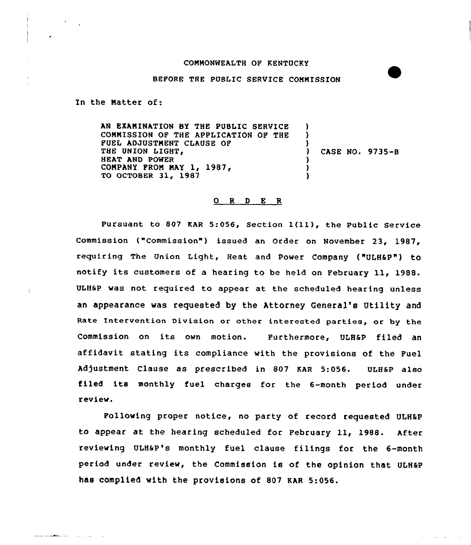## COMMONWEALTH OF KENTUCKY

## BEFORE THE PUBLIC SERVICE COMMISSION

In the Natter of:

AN EXANINATION 8Y THE PUBLIC SERVICE CQNNISSION OF THE APPLICATION OF THE PUEL ADJUSTMENT CLAUSE OF THE UNION LIGHT, HEAT AND POWER COMPANY FROM MAY 1, 1987, TO OCTOBER 31, 1987 ) ) CASE NO. 9735-8 ) )

## 0 R <sup>D</sup> E R

Pursuant to <sup>807</sup> KAR 5:056, Section 1(ll), the Public Service Commission ("Commission") issued an Order on November 23, 1987, requiring The Union Light, Heat and power Company ("ULHSP") tO notify its customers of <sup>a</sup> hearing to be held on February 11, 1988. ULH6P was not required to appear at the scheduled hearing unless an appearance was requested by the Attorney General's Utility and Rate Intervention Division or other interested parties, or by the Commission on its own motion. Furthermore, ULHSP filed an affidavit stating its compliance with the provisions of the Fuel Adjustment Clause as prescribed in 807 KAR 5:056. ULH&P also filed its monthly fuel charges for the 6-month period under review.

Following proper notice, no party of record requested ULHEP to appear at the hearing scheduled for February ll, 1988. After reviewing ULHSP's monthly fuel clause filings for the 6-month period under review, the Commission is of the opinion that ULH@P has complied with the provisions of 807 KAR 5:056.